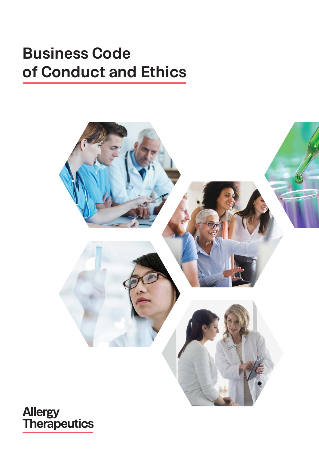# **Business Code of Conduct and Ethics**



**Allergy<br>Therapeutics**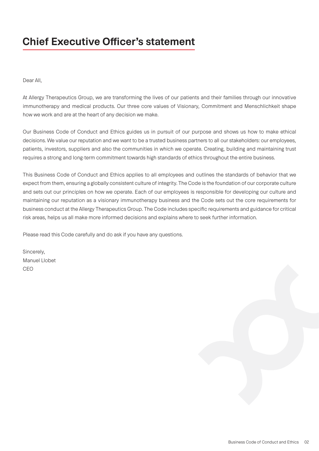## **Chief Executive Officer's statement**

Dear All,

At Allergy Therapeutics Group, we are transforming the lives of our patients and their families through our innovative immunotherapy and medical products. Our three core values of Visionary, Commitment and Menschlichkeit shape how we work and are at the heart of any decision we make.

Our Business Code of Conduct and Ethics guides us in pursuit of our purpose and shows us how to make ethical decisions. We value our reputation and we want to be a trusted business partners to all our stakeholders: our employees, patients, investors, suppliers and also the communities in which we operate. Creating, building and maintaining trust requires a strong and long-term commitment towards high standards of ethics throughout the entire business.

This Business Code of Conduct and Ethics applies to all employees and outlines the standards of behavior that we expect from them, ensuring a globally consistent culture of integrity. The Code is the foundation of our corporate culture and sets out our principles on how we operate. Each of our employees is responsible for developing our culture and maintaining our reputation as a visionary immunotherapy business and the Code sets out the core requirements for business conduct at the Allergy Therapeutics Group. The Code includes specific requirements and guidance for critical risk areas, helps us all make more informed decisions and explains where to seek further information.

Please read this Code carefully and do ask if you have any questions.

Sincerely, Manuel Llobet CEO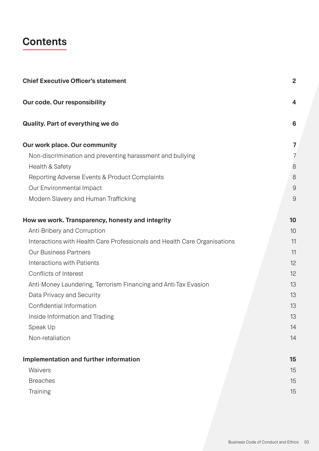## **Contents**

| <b>Chief Executive Officer's statement</b>                                | $\overline{2}$          |
|---------------------------------------------------------------------------|-------------------------|
| Our code. Our responsibility                                              | $\overline{\mathbf{4}}$ |
| <b>Quality. Part of everything we do</b>                                  | 6                       |
| Our work place. Our community                                             | 7                       |
| Non-discrimination and preventing harassment and bullying                 | 7                       |
| Health & Safety                                                           | 8                       |
| Reporting Adverse Events & Product Complaints                             | 8                       |
| Our Environmental Impact                                                  | 9                       |
| Modern Slavery and Human Trafficking                                      | 9                       |
| How we work. Transparency, honesty and integrity                          | 10                      |
| Anti-Bribery and Corruption                                               | 10                      |
| Interactions with Health Care Professionals and Health Care Organisations | 11                      |
| <b>Our Business Partners</b>                                              | 11                      |
| Interactions with Patients                                                | 12                      |
| Conflicts of Interest                                                     | 12                      |
| Anti-Money Laundering, Terrorism Financing and Anti-Tax Evasion           | 13                      |
| Data Privacy and Security                                                 | 13                      |
| Confidential Information                                                  | 13                      |
| Inside Information and Trading                                            | 13                      |
| Speak Up                                                                  | 14                      |
| Non-retaliation                                                           | 14                      |
| Implementation and further information                                    | 15                      |
| Waivers                                                                   | 15                      |
| <b>Breaches</b>                                                           | 15                      |
| Training                                                                  | 15                      |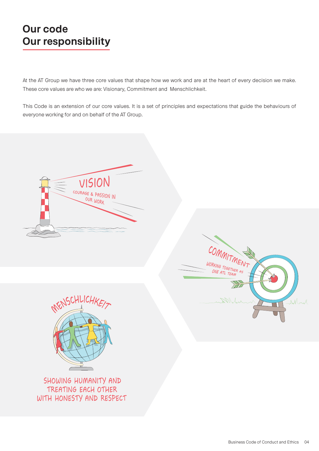## **Our code Our responsibility**

At the AT Group we have three core values that shape how we work and are at the heart of every decision we make. These core values are who we are: Visionary, Commitment and Menschlichkeit.

This Code is an extension of our core values. It is a set of principles and expectations that guide the behaviours of everyone working for and on behalf of the AT Group.



SHOWING HUMANITY AND TREATING EACH OTHER WITH HONESTY AND RESPECT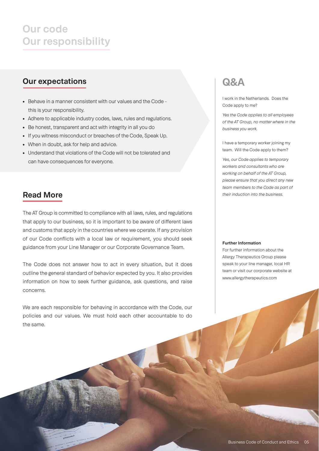## **Our code Our responsibility**

## **Our expectations**

- Behave in a manner consistent with our values and the Code this is your responsibility.
- Adhere to applicable industry codes, laws, rules and regulations.
- Be honest, transparent and act with integrity in all you do
- If you witness misconduct or breaches of the Code, Speak Up.
- When in doubt, ask for help and advice.
- Understand that violations of the Code will not be tolerated and can have consequences for everyone.

## **Read More**

The AT Group is committed to compliance with all laws, rules, and regulations that apply to our business, so it is important to be aware of different laws and customs that apply in the countries where we operate. If any provision of our Code conflicts with a local law or requirement, you should seek guidance from your Line Manager or our Corporate Governance Team.

The Code does not answer how to act in every situation, but it does outline the general standard of behavior expected by you. It also provides information on how to seek further guidance, ask questions, and raise concerns.

We are each responsible for behaving in accordance with the Code, our policies and our values. We must hold each other accountable to do the same.

## **Q&A**

I work in the Netherlands. Does the Code apply to me?

*Yes the Code applies to all employees of the AT Group, no matter where in the business you work.*

I have a temporary worker joining my team. Will the Code apply to them?

*Yes, our Code applies to temporary workers and consultants who are working on behalf of the AT Group, please ensure that you direct any new team members to the Code as part of their induction into the business.*

#### **Further Information**

For further information about the Allergy Therapeutics Group please speak to your line manager, local HR team or visit our corporate website at www.allergytherapeutics.com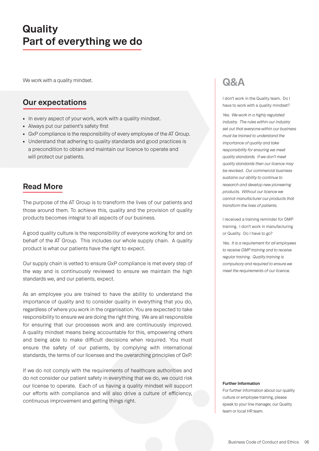## **Quality Part of everything we do**

We work with a quality mindset.

### **Our expectations**

- In every aspect of your work, work with a quality mindset.
- Always put our patient's safety first
- GxP compliance is the responsibility of every employee of the AT Group.
- Understand that adhering to quality standards and good practices is a precondition to obtain and maintain our licence to operate and will protect our patients.

### **Read More**

The purpose of the AT Group is to transform the lives of our patients and those around them. To achieve this, quality and the provision of quality products becomes integral to all aspects of our business.

A good quality culture is the responsibility of everyone working for and on behalf of the AT Group. This includes our whole supply chain. A quality product is what our patients have the right to expect.

Our supply chain is vetted to ensure GxP compliance is met every step of the way and is continuously reviewed to ensure we maintain the high standards we, and our patients, expect.

As an employee you are trained to have the ability to understand the importance of quality and to consider quality in everything that you do, regardless of where you work in the organisation. You are expected to take responsibility to ensure we are doing the right thing. We are all responsible for ensuring that our processes work and are continuously improved. A quality mindset means being accountable for this, empowering others and being able to make difficult decisions when required. You must ensure the safety of our patients, by complying with international standards, the terms of our licenses and the overarching principles of GxP.

If we do not comply with the requirements of healthcare authorities and do not consider our patient safety in everything that we do, we could risk our license to operate. Each of us having a quality mindset will support our efforts with compliance and will also drive a culture of efficiency, continuous improvement and getting things right.

## **Q&A**

I don't work in the Quality team. Do I have to work with a quality mindset?

*Yes. We work in a highly regulated industry. The rules within our industry set out that everyone within our business must be trained to understand the importance of quality and take responsibility for ensuring we meet quality standards. If we don't meet quality standards then our licence may be revoked. Our commercial business sustains our ability to continue to research and develop new pioneering products. Without our licence we cannot manufacturer our products that transform the lives of patients.* 

I received a training reminder for GMP training. I don't work in manufacturing or Quality. Do I have to go?

*Yes. It is a requirement for all employees to receive GMP training and to receive regular training. Quality training is compulsory and required to ensure we meet the requirements of our licence.* 

#### **Further Information**

For further information about our quality culture or employee training, please speak to your line manager, our Quality team or local HR team.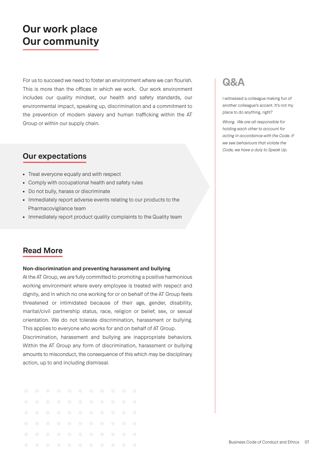## **Our work place Our community**

For us to succeed we need to foster an environment where we can flourish. This is more than the offices in which we work. Our work environment includes our quality mindset, our health and safety standards, our environmental impact, speaking up, discrimination and a commitment to the prevention of modern slavery and human trafficking within the AT Group or within our supply chain.

## **Our expectations**

- Treat everyone equally and with respect
- Comply with occupational health and safety rules
- Do not bully, harass or discriminate
- Immediately report adverse events relating to our products to the Pharmacovigilance team
- Immediately report product quality complaints to the Quality team

## **Read More**

### **Non-discrimination and preventing harassment and bullying**

At the AT Group, we are fully committed to promoting a positive harmonious working environment where every employee is treated with respect and dignity, and in which no one working for or on behalf of the AT Group feels threatened or intimidated because of their age, gender, disability, marital/civil partnership status, race, religion or belief, sex, or sexual orientation. We do not tolerate discrimination, harassment or bullying. This applies to everyone who works for and on behalf of AT Group.

Discrimination, harassment and bullying are inappropriate behaviors. Within the AT Group any form of discrimination, harassment or bullying amounts to misconduct, the consequence of this which may be disciplinary action, up to and including dismissal.

|  |  | . |  |  |  |
|--|--|---|--|--|--|
|  |  | . |  |  |  |
|  |  | . |  |  |  |
|  |  | . |  |  |  |
|  |  | . |  |  |  |
|  |  | . |  |  |  |

## **Q&A**

I witnessed a colleague making fun of another colleague's accent. It's not my place to do anything, right?

*Wrong. We are all responsible for holding each other to account for acting in accordance with the Code. If we see behaviours that violate the Code, we have a duty to Speak Up.*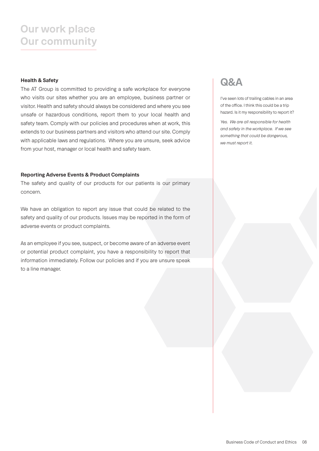## **Our work place Our community**

### **Health & Safety**

The AT Group is committed to providing a safe workplace for everyone who visits our sites whether you are an employee, business partner or visitor. Health and safety should always be considered and where you see unsafe or hazardous conditions, report them to your local health and safety team. Comply with our policies and procedures when at work, this extends to our business partners and visitors who attend our site. Comply with applicable laws and regulations. Where you are unsure, seek advice from your host, manager or local health and safety team.

### **Reporting Adverse Events & Product Complaints**

The safety and quality of our products for our patients is our primary concern.

We have an obligation to report any issue that could be related to the safety and quality of our products. Issues may be reported in the form of adverse events or product complaints.

As an employee if you see, suspect, or become aware of an adverse event or potential product complaint, you have a responsibility to report that information immediately. Follow our policies and if you are unsure speak to a line manager.

## **Q&A**

I've seen lots of trailing cables in an area of the office. I think this could be a trip hazard. Is it my responsibility to report it?

*Yes. We are all responsible for health and safety in the workplace. If we see something that could be dangerous, we must report it.*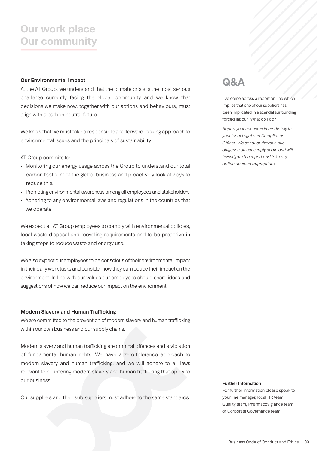## **Our work place Our community**

### **Our Environmental Impact**

At the AT Group, we understand that the climate crisis is the most serious challenge currently facing the global community and we know that decisions we make now, together with our actions and behaviours, must align with a carbon neutral future.

We know that we must take a responsible and forward looking approach to environmental issues and the principals of sustainability.

AT Group commits to:

- Monitoring our energy usage across the Group to understand our total carbon footprint of the global business and proactively look at ways to reduce this.
- Promoting environmental awareness among all employees and stakeholders.
- Adhering to any environmental laws and regulations in the countries that we operate.

We expect all AT Group employees to comply with environmental policies, local waste disposal and recycling requirements and to be proactive in taking steps to reduce waste and energy use.

We also expect our employees to be conscious of their environmental impact in their daily work tasks and consider how they can reduce their impact on the environment. In line with our values our employees should share ideas and suggestions of how we can reduce our impact on the environment.

### **Modern Slavery and Human Trafficking**

We are committed to the prevention of modern slavery and human trafficking within our own business and our supply chains.

Modern slavery and human trafficking are criminal offences and a violation of fundamental human rights. We have a zero-tolerance approach to modern slavery and human trafficking, and we will adhere to all laws relevant to countering modern slavery and human trafficking that apply to our business.

Our suppliers and their sub-suppliers must adhere to the same standards.

## **Q&A**

I've come across a report on line which implies that one of our suppliers has been implicated in a scandal surrounding forced labour. What do I do?

*Report your concerns immediately to your local Legal and Compliance*  Officer. We conduct rigorous due *diligence on our supply chain and will investigate the report and take any action deemed appropriate.*

#### **Further Information**

For further information please speak to your line manager, local HR team, Quality team, Pharmacovigiance team or Corporate Governance team.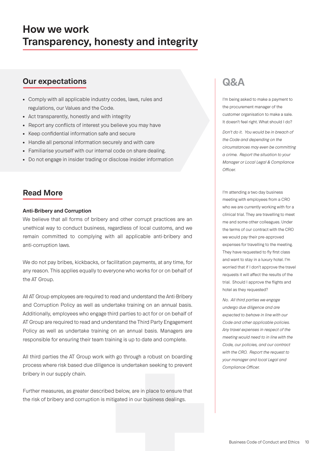## **How we work Transparency, honesty and integrity**

## **Our expectations**

- Comply with all applicable industry codes, laws, rules and regulations, our Values and the Code.
- Act transparently, honestly and with integrity
- Report any conflicts of interest you believe you may have
- Keep confidential information safe and secure
- Handle all personal information securely and with care
- Familiarise yourself with our internal code on share dealing.
- Do not engage in insider trading or disclose insider information

## **Read More**

### **Anti-Bribery and Corruption**

We believe that all forms of bribery and other corrupt practices are an unethical way to conduct business, regardless of local customs, and we remain committed to complying with all applicable anti-bribery and anti-corruption laws.

We do not pay bribes, kickbacks, or facilitation payments, at any time, for any reason. This applies equally to everyone who works for or on behalf of the AT Group.

All AT Group employees are required to read and understand the Anti-Bribery and Corruption Policy as well as undertake training on an annual basis. Additionally, employees who engage third parties to act for or on behalf of AT Group are required to read and understand the Third Party Engagement Policy as well as undertake training on an annual basis. Managers are responsible for ensuring their team training is up to date and complete.

All third parties the AT Group work with go through a robust on boarding process where risk based due diligence is undertaken seeking to prevent bribery in our supply chain.

Further measures, as greater described below, are in place to ensure that the risk of bribery and corruption is mitigated in our business dealings.

## **Q&A**

I'm being asked to make a payment to the procurement manager of the customer organisation to make a sale. It doesn't feel right. What should I do?

*Don't do it. You would be in breach of the Code and depending on the circumstances may even be committing a crime. Report the situation to your Manager or Local Legal & Compliance*  Officer.

I'm attending a two day business meeting with employees from a CRO who we are currently working with for a clinical trial. They are travelling to meet me and some other colleagues. Under the terms of our contract with the CRO we would pay their pre-approved expenses for travelling to the meeting. They have requested to fly first class and want to stay in a luxury hotel. I'm worried that if I don't approve the travel requests it will affect the results of the trial. Should I approve the flights and hotel as they requested?

*No. All third parties we engage undergo due diligence and are expected to behave in line with our Code and other applicable policies. Any travel expenses in respect of the meeting would need to in line with the Code, our policies, and our contract with the CRO. Report the request to your manager and local Legal and Compliance Officer.*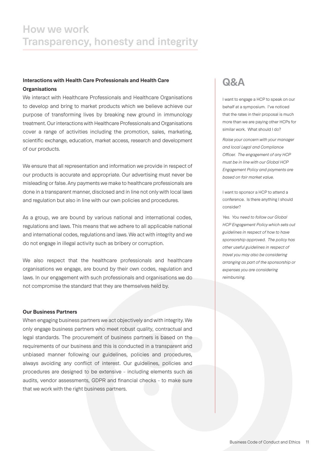## **How we work Transparency, honesty and integrity**

### **Interactions with Health Care Professionals and Health Care Organisations**

We interact with Healthcare Professionals and Healthcare Organisations to develop and bring to market products which we believe achieve our purpose of transforming lives by breaking new ground in immunology treatment. Our interactions with Healthcare Professionals and Organisations cover a range of activities including the promotion, sales, marketing, scientific exchange, education, market access, research and development of our products.

We ensure that all representation and information we provide in respect of our products is accurate and appropriate. Our advertising must never be misleading or false. Any payments we make to healthcare professionals are done in a transparent manner, disclosed and in line not only with local laws and regulation but also in line with our own policies and procedures.

As a group, we are bound by various national and international codes, regulations and laws. This means that we adhere to all applicable national and international codes, regulations and laws. We act with integrity and we do not engage in illegal activity such as bribery or corruption.

We also respect that the healthcare professionals and healthcare organisations we engage, are bound by their own codes, regulation and laws. In our engagement with such professionals and organisations we do not compromise the standard that they are themselves held by.

### **Our Business Partners**

When engaging business partners we act objectively and with integrity. We only engage business partners who meet robust quality, contractual and legal standards. The procurement of business partners is based on the requirements of our business and this is conducted in a transparent and unbiased manner following our guidelines, policies and procedures, always avoiding any conflict of interest. Our guidelines, policies and procedures are designed to be extensive – including elements such as audits, vendor assessments, GDPR and financial checks – to make sure that we work with the right business partners.

## **Q&A**

I want to engage a HCP to speak on our behalf at a symposium. I've noticed that the rates in their proposal is much more than we are paying other HCPs for similar work. What should I do?

*Raise your concern with your manager and local Legal and Compliance Officer. The engagement of any HCP must be in line with our Global HCP Engagement Policy and payments are based on fair market value.* 

I want to sponsor a HCP to attend a conference. Is there anything I should consider?

*Yes. You need to follow our Global HCP Engagement Policy which sets out guidelines in respect of how to have sponsorship approved. The policy has other useful guidelines in respect of travel you may also be considering arranging as part of the sponsorship or expenses you are considering reimbursing.*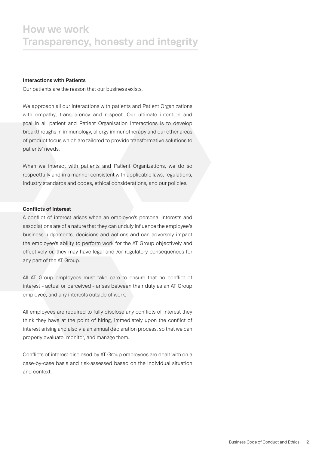### **Interactions with Patients**

Our patients are the reason that our business exists.

We approach all our interactions with patients and Patient Organizations with empathy, transparency and respect. Our ultimate intention and goal in all patient and Patient Organisation interactions is to develop breakthroughs in immunology, allergy immunotherapy and our other areas of product focus which are tailored to provide transformative solutions to patients' needs.

When we interact with patients and Patient Organizations, we do so respectfully and in a manner consistent with applicable laws, regulations, industry standards and codes, ethical considerations, and our policies.

### **Conflicts of Interest**

A conflict of interest arises when an employee's personal interests and associations are of a nature that they can unduly influence the employee's business judgements, decisions and actions and can adversely impact the employee's ability to perform work for the AT Group objectively and effectively or, they may have legal and /or regulatory consequences for any part of the AT Group.

All AT Group employees must take care to ensure that no conflict of interest – actual or perceived – arises between their duty as an AT Group employee, and any interests outside of work.

All employees are required to fully disclose any conflicts of interest they think they have at the point of hiring, immediately upon the conflict of interest arising and also via an annual declaration process, so that we can properly evaluate, monitor, and manage them.

Conflicts of interest disclosed by AT Group employees are dealt with on a case-by-case basis and risk-assessed based on the individual situation and context.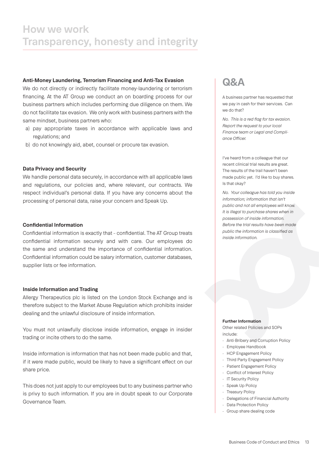### **Anti-Money Laundering, Terrorism Financing and Anti-Tax Evasion**

We do not directly or indirectly facilitate money-laundering or terrorism financing. At the AT Group we conduct an on boarding process for our business partners which includes performing due diligence on them. We do not facilitate tax evasion. We only work with business partners with the same mindset, business partners who:

- a) pay appropriate taxes in accordance with applicable laws and regulations; and
- b) do not knowingly aid, abet, counsel or procure tax evasion.

### **Data Privacy and Security**

We handle personal data securely, in accordance with all applicable laws and regulations, our policies and, where relevant, our contracts. We respect individual's personal data. If you have any concerns about the processing of personal data, raise your concern and Speak Up.

### **Confidential Information**

Confidential information is exactly that – confidential. The AT Group treats confidential information securely and with care. Our employees do the same and understand the importance of confidential information. Confidential information could be salary information, customer databases, supplier lists or fee information.

### **Inside Information and Trading**

Allergy Therapeutics plc is listed on the London Stock Exchange and is therefore subject to the Market Abuse Regulation which prohibits insider dealing and the unlawful disclosure of inside information.

You must not unlawfully disclose inside information, engage in insider trading or incite others to do the same.

Inside information is information that has not been made public and that, if it were made public, would be likely to have a significant effect on our share price.

This does not just apply to our employees but to any business partner who is privy to such information. If you are in doubt speak to our Corporate Governance Team.

## **Q&A**

A business partner has requested that we pay in cash for their services. Can we do that?

*No. This is a red flag for tax evasion. Report the request to your local Finance team or Legal and Compli*ance Officer.

I've heard from a colleague that our recent clinical trial results are great. The results of the trail haven't been made public yet. I'd like to buy shares. Is that okay?

*No. Your colleague has told you inside information; information that isn't public and not all employees will know. It is illegal to purchase shares when in possession of inside information. Before the trial results have been made public the information is classified as inside information.*

#### **Further Information**

Other related Policies and SOPs include:

- Anti-Bribery and Corruption Policy
- Employee Handbook
- HCP Engagement Policy
- Third Party Engagement Policy
- Patient Engagement Policy
- Conflict of Interest Policy
- IT Security Policy
- Speak Up Policy
- Treasury Policy
- Delegations of Financial Authority
- Data Protection Policy
- Group share dealing code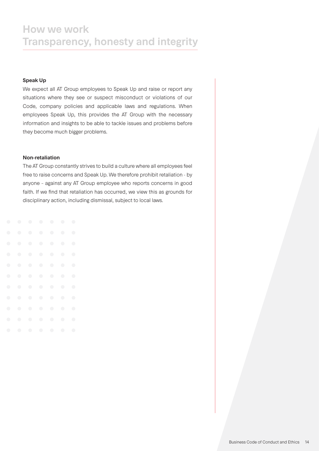### **Speak Up**

We expect all AT Group employees to Speak Up and raise or report any situations where they see or suspect misconduct or violations of our Code, company policies and applicable laws and regulations. When employees Speak Up, this provides the AT Group with the necessary information and insights to be able to tackle issues and problems before they become much bigger problems.

#### **Non-retaliation**

The AT Group constantly strives to build a culture where all employees feel free to raise concerns and Speak Up. We therefore prohibit retaliation - by anyone – against any AT Group employee who reports concerns in good faith. If we find that retaliation has occurred, we view this as grounds for disciplinary action, including dismissal, subject to local laws.

| $\bigodot$ | $\bigcirc$ | $\bigcirc$ | $\bigcirc$ | $\bigcirc$ | $\bigodot$ | $\bigodot$ |  |
|------------|------------|------------|------------|------------|------------|------------|--|
| $\bigodot$ | $\bigcirc$ | $\bigcirc$ | $\bigcirc$ | $\bigcirc$ | $\bigcirc$ | $\bigodot$ |  |
| $\bigodot$ | $\bigcirc$ | $\bigcirc$ | $\bigcirc$ | $\bigcirc$ | $\bigcirc$ | $\bigodot$ |  |
| $\bigodot$ | $\bigcirc$ | $\bigcirc$ | $\bigcirc$ | $\bigcirc$ | $\bigcirc$ | $\bigcirc$ |  |
| $\bigodot$ | $\bigcirc$ | $\bigcirc$ | $\bigcirc$ | $\bigodot$ | $\bigodot$ | $\bigcirc$ |  |
| $\bigodot$ | $\bigcirc$ | $\bigcirc$ | $\bigcirc$ | $\bigcirc$ | $\bigcirc$ | $\bigcirc$ |  |
| $\bigodot$ | $\bigcirc$ | $\bigodot$ | $\bigodot$ | $\bigodot$ | $\bigodot$ | $\bigodot$ |  |
| $\bigodot$ | $\bigcirc$ | $\bigcirc$ | $\bigcirc$ | $\bigcirc$ | $\bigcirc$ | $\bigcirc$ |  |
| $\bigodot$ | $\bigodot$ | $\bigodot$ | $\bigodot$ | $\bigodot$ | $\bigodot$ | $\bigodot$ |  |
| $\bigcirc$ | $\bigcirc$ | $\bigodot$ | $\bigcirc$ | $\bigcirc$ | $\bigcirc$ | $\bigcirc$ |  |
| $\bigcirc$ | $\bigcirc$ | $\bigcirc$ | $\bigodot$ | $\bigcirc$ | $\bigodot$ | $\bigcirc$ |  |